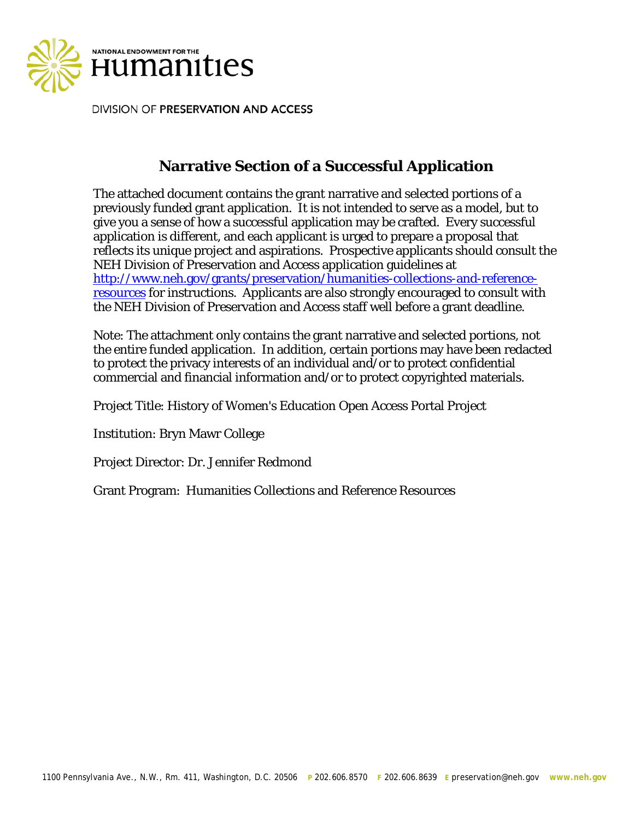

DIVISION OF PRESERVATION AND ACCESS

# **Narrative Section of a Successful Application**

The attached document contains the grant narrative and selected portions of a previously funded grant application. It is not intended to serve as a model, but to give you a sense of how a successful application may be crafted. Every successful application is different, and each applicant is urged to prepare a proposal that reflects its unique project and aspirations. Prospective applicants should consult the NEH Division of Preservation and Access application guidelines at [http://www.neh.gov/grants/preservation/humanities-collections-and-reference](http://www.neh.gov/grants/preservation/humanities-collections-and-reference-resources)[resources](http://www.neh.gov/grants/preservation/humanities-collections-and-reference-resources) for instructions. Applicants are also strongly encouraged to consult with the NEH Division of Preservation and Access staff well before a grant deadline.

Note: The attachment only contains the grant narrative and selected portions, not the entire funded application. In addition, certain portions may have been redacted to protect the privacy interests of an individual and/or to protect confidential commercial and financial information and/or to protect copyrighted materials.

Project Title: History of Women's Education Open Access Portal Project

Institution: Bryn Mawr College

Project Director: Dr. Jennifer Redmond

Grant Program: Humanities Collections and Reference Resources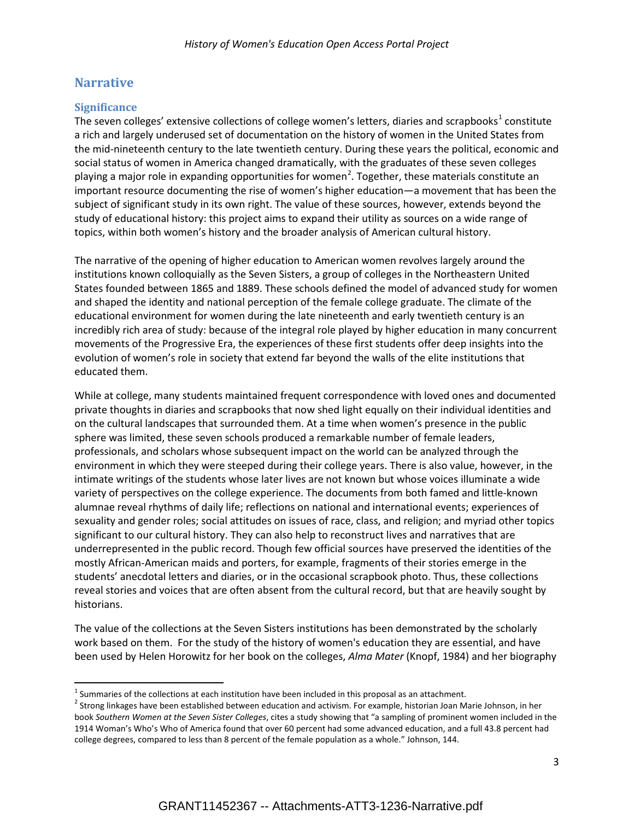## **Narrative**

## **Significance**

The seven colleges' extensive collections of college women's letters, diaries and scrapbooks $1$  constitute a rich and largely underused set of documentation on the history of women in the United States from the mid-nineteenth century to the late twentieth century. During these years the political, economic and social status of women in America changed dramatically, with the graduates of these seven colleges playing a major role in expanding opportunities for women<sup>[2](#page-1-1)</sup>. Together, these materials constitute an important resource documenting the rise of women's higher education—a movement that has been the subject of significant study in its own right. The value of these sources, however, extends beyond the study of educational history: this project aims to expand their utility as sources on a wide range of topics, within both women's history and the broader analysis of American cultural history.

The narrative of the opening of higher education to American women revolves largely around the institutions known colloquially as the Seven Sisters, a group of colleges in the Northeastern United States founded between 1865 and 1889. These schools defined the model of advanced study for women and shaped the identity and national perception of the female college graduate. The climate of the educational environment for women during the late nineteenth and early twentieth century is an incredibly rich area of study: because of the integral role played by higher education in many concurrent movements of the Progressive Era, the experiences of these first students offer deep insights into the evolution of women's role in society that extend far beyond the walls of the elite institutions that educated them.

While at college, many students maintained frequent correspondence with loved ones and documented private thoughts in diaries and scrapbooks that now shed light equally on their individual identities and on the cultural landscapes that surrounded them. At a time when women's presence in the public sphere was limited, these seven schools produced a remarkable number of female leaders, professionals, and scholars whose subsequent impact on the world can be analyzed through the environment in which they were steeped during their college years. There is also value, however, in the intimate writings of the students whose later lives are not known but whose voices illuminate a wide variety of perspectives on the college experience. The documents from both famed and little-known alumnae reveal rhythms of daily life; reflections on national and international events; experiences of sexuality and gender roles; social attitudes on issues of race, class, and religion; and myriad other topics significant to our cultural history. They can also help to reconstruct lives and narratives that are underrepresented in the public record. Though few official sources have preserved the identities of the mostly African-American maids and porters, for example, fragments of their stories emerge in the students' anecdotal letters and diaries, or in the occasional scrapbook photo. Thus, these collections reveal stories and voices that are often absent from the cultural record, but that are heavily sought by historians.

The value of the collections at the Seven Sisters institutions has been demonstrated by the scholarly work based on them. For the study of the history of women's education they are essential, and have been used by Helen Horowitz for her book on the colleges, *Alma Mater* (Knopf, 1984) and her biography

<span id="page-1-0"></span> $1$  Summaries of the collections at each institution have been included in this proposal as an attachment.

<span id="page-1-1"></span> $2$  Strong linkages have been established between education and activism. For example, historian Joan Marie Johnson, in her book *Southern Women at the Seven Sister Colleges*, cites a study showing that "a sampling of prominent women included in the 1914 Woman's Who's Who of America found that over 60 percent had some advanced education, and a full 43.8 percent had college degrees, compared to less than 8 percent of the female population as a whole." Johnson, 144.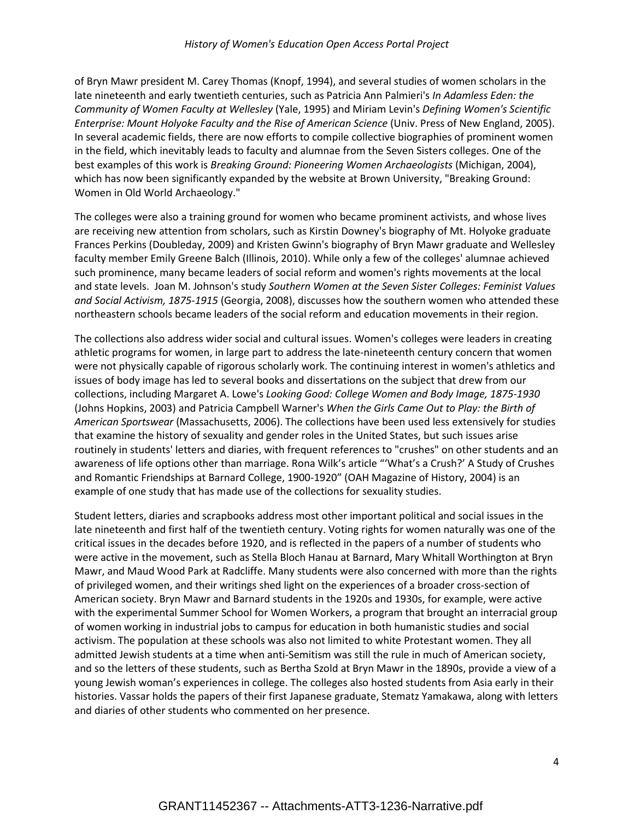of Bryn Mawr president M. Carey Thomas (Knopf, 1994), and several studies of women scholars in the late nineteenth and early twentieth centuries, such as Patricia Ann Palmieri's *In Adamless Eden: the Community of Women Faculty at Wellesley* (Yale, 1995) and Miriam Levin's *Defining Women's Scientific Enterprise: Mount Holyoke Faculty and the Rise of American Science* (Univ. Press of New England, 2005). In several academic fields, there are now efforts to compile collective biographies of prominent women in the field, which inevitably leads to faculty and alumnae from the Seven Sisters colleges. One of the best examples of this work is *Breaking Ground: Pioneering Women Archaeologists* (Michigan, 2004), which has now been significantly expanded by the website at Brown University, "Breaking Ground: Women in Old World Archaeology."

The colleges were also a training ground for women who became prominent activists, and whose lives are receiving new attention from scholars, such as Kirstin Downey's biography of Mt. Holyoke graduate Frances Perkins (Doubleday, 2009) and Kristen Gwinn's biography of Bryn Mawr graduate and Wellesley faculty member Emily Greene Balch (Illinois, 2010). While only a few of the colleges' alumnae achieved such prominence, many became leaders of social reform and women's rights movements at the local and state levels. Joan M. Johnson's study *Southern Women at the Seven Sister Colleges: Feminist Values and Social Activism, 1875-1915* (Georgia, 2008), discusses how the southern women who attended these northeastern schools became leaders of the social reform and education movements in their region.

The collections also address wider social and cultural issues. Women's colleges were leaders in creating athletic programs for women, in large part to address the late-nineteenth century concern that women were not physically capable of rigorous scholarly work. The continuing interest in women's athletics and issues of body image has led to several books and dissertations on the subject that drew from our collections, including Margaret A. Lowe's *Looking Good: College Women and Body Image, 1875-1930* (Johns Hopkins, 2003) and Patricia Campbell Warner's *When the Girls Came Out to Play: the Birth of American Sportswear* (Massachusetts, 2006). The collections have been used less extensively for studies that examine the history of sexuality and gender roles in the United States, but such issues arise routinely in students' letters and diaries, with frequent references to "crushes" on other students and an awareness of life options other than marriage. Rona Wilk's article "'What's a Crush?' A Study of Crushes and Romantic Friendships at Barnard College, 1900-1920" (OAH Magazine of History, 2004) is an example of one study that has made use of the collections for sexuality studies.

Student letters, diaries and scrapbooks address most other important political and social issues in the late nineteenth and first half of the twentieth century. Voting rights for women naturally was one of the critical issues in the decades before 1920, and is reflected in the papers of a number of students who were active in the movement, such as Stella Bloch Hanau at Barnard, Mary Whitall Worthington at Bryn Mawr, and Maud Wood Park at Radcliffe. Many students were also concerned with more than the rights of privileged women, and their writings shed light on the experiences of a broader cross-section of American society. Bryn Mawr and Barnard students in the 1920s and 1930s, for example, were active with the experimental Summer School for Women Workers, a program that brought an interracial group of women working in industrial jobs to campus for education in both humanistic studies and social activism. The population at these schools was also not limited to white Protestant women. They all admitted Jewish students at a time when anti-Semitism was still the rule in much of American society, and so the letters of these students, such as Bertha Szold at Bryn Mawr in the 1890s, provide a view of a young Jewish woman's experiences in college. The colleges also hosted students from Asia early in their histories. Vassar holds the papers of their first Japanese graduate, Stematz Yamakawa, along with letters and diaries of other students who commented on her presence.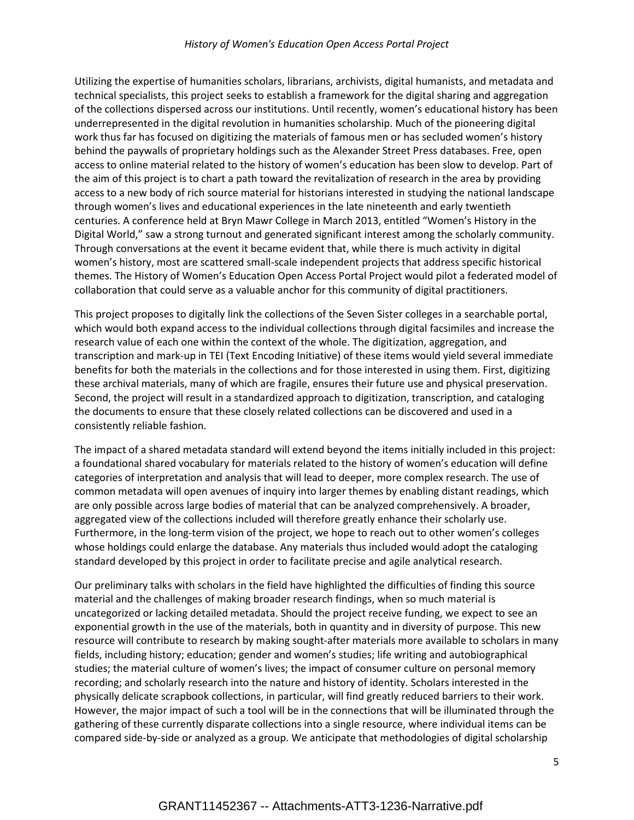## *History of Women's Education Open Access Portal Project*

Utilizing the expertise of humanities scholars, librarians, archivists, digital humanists, and metadata and technical specialists, this project seeks to establish a framework for the digital sharing and aggregation of the collections dispersed across our institutions. Until recently, women's educational history has been underrepresented in the digital revolution in humanities scholarship. Much of the pioneering digital work thus far has focused on digitizing the materials of famous men or has secluded women's history behind the paywalls of proprietary holdings such as the Alexander Street Press databases. Free, open access to online material related to the history of women's education has been slow to develop. Part of the aim of this project is to chart a path toward the revitalization of research in the area by providing access to a new body of rich source material for historians interested in studying the national landscape through women's lives and educational experiences in the late nineteenth and early twentieth centuries. A conference held at Bryn Mawr College in March 2013, entitled "Women's History in the Digital World," saw a strong turnout and generated significant interest among the scholarly community. Through conversations at the event it became evident that, while there is much activity in digital women's history, most are scattered small-scale independent projects that address specific historical themes. The History of Women's Education Open Access Portal Project would pilot a federated model of collaboration that could serve as a valuable anchor for this community of digital practitioners.

This project proposes to digitally link the collections of the Seven Sister colleges in a searchable portal, which would both expand access to the individual collections through digital facsimiles and increase the research value of each one within the context of the whole. The digitization, aggregation, and transcription and mark-up in TEI (Text Encoding Initiative) of these items would yield several immediate benefits for both the materials in the collections and for those interested in using them. First, digitizing these archival materials, many of which are fragile, ensures their future use and physical preservation. Second, the project will result in a standardized approach to digitization, transcription, and cataloging the documents to ensure that these closely related collections can be discovered and used in a consistently reliable fashion.

The impact of a shared metadata standard will extend beyond the items initially included in this project: a foundational shared vocabulary for materials related to the history of women's education will define categories of interpretation and analysis that will lead to deeper, more complex research. The use of common metadata will open avenues of inquiry into larger themes by enabling distant readings, which are only possible across large bodies of material that can be analyzed comprehensively. A broader, aggregated view of the collections included will therefore greatly enhance their scholarly use. Furthermore, in the long-term vision of the project, we hope to reach out to other women's colleges whose holdings could enlarge the database. Any materials thus included would adopt the cataloging standard developed by this project in order to facilitate precise and agile analytical research.

Our preliminary talks with scholars in the field have highlighted the difficulties of finding this source material and the challenges of making broader research findings, when so much material is uncategorized or lacking detailed metadata. Should the project receive funding, we expect to see an exponential growth in the use of the materials, both in quantity and in diversity of purpose. This new resource will contribute to research by making sought-after materials more available to scholars in many fields, including history; education; gender and women's studies; life writing and autobiographical studies; the material culture of women's lives; the impact of consumer culture on personal memory recording; and scholarly research into the nature and history of identity. Scholars interested in the physically delicate scrapbook collections, in particular, will find greatly reduced barriers to their work. However, the major impact of such a tool will be in the connections that will be illuminated through the gathering of these currently disparate collections into a single resource, where individual items can be compared side-by-side or analyzed as a group. We anticipate that methodologies of digital scholarship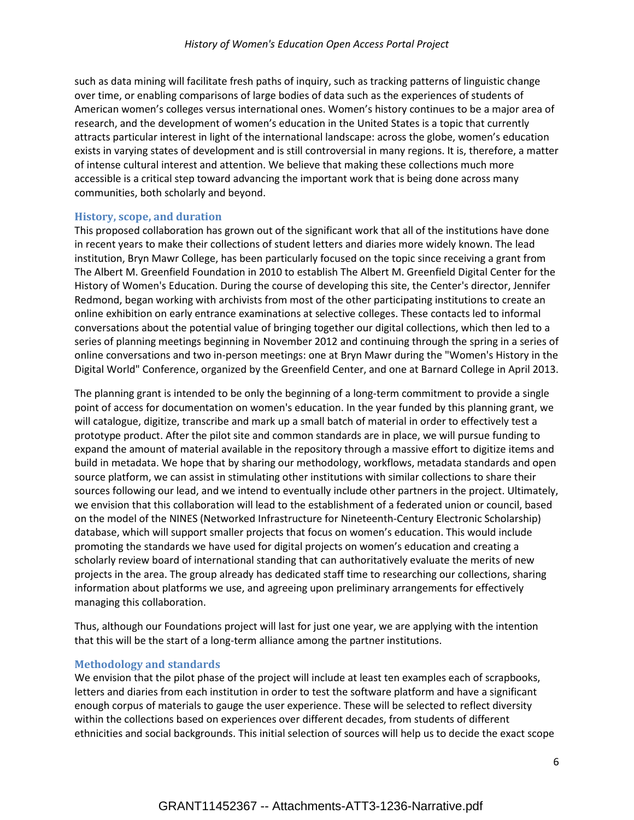such as data mining will facilitate fresh paths of inquiry, such as tracking patterns of linguistic change over time, or enabling comparisons of large bodies of data such as the experiences of students of American women's colleges versus international ones. Women's history continues to be a major area of research, and the development of women's education in the United States is a topic that currently attracts particular interest in light of the international landscape: across the globe, women's education exists in varying states of development and is still controversial in many regions. It is, therefore, a matter of intense cultural interest and attention. We believe that making these collections much more accessible is a critical step toward advancing the important work that is being done across many communities, both scholarly and beyond.

#### **History, scope, and duration**

This proposed collaboration has grown out of the significant work that all of the institutions have done in recent years to make their collections of student letters and diaries more widely known. The lead institution, Bryn Mawr College, has been particularly focused on the topic since receiving a grant from The Albert M. Greenfield Foundation in 2010 to establish The Albert M. Greenfield Digital Center for the History of Women's Education. During the course of developing this site, the Center's director, Jennifer Redmond, began working with archivists from most of the other participating institutions to create an online exhibition on early entrance examinations at selective colleges. These contacts led to informal conversations about the potential value of bringing together our digital collections, which then led to a series of planning meetings beginning in November 2012 and continuing through the spring in a series of online conversations and two in-person meetings: one at Bryn Mawr during the "Women's History in the Digital World" Conference, organized by the Greenfield Center, and one at Barnard College in April 2013.

The planning grant is intended to be only the beginning of a long-term commitment to provide a single point of access for documentation on women's education. In the year funded by this planning grant, we will catalogue, digitize, transcribe and mark up a small batch of material in order to effectively test a prototype product. After the pilot site and common standards are in place, we will pursue funding to expand the amount of material available in the repository through a massive effort to digitize items and build in metadata. We hope that by sharing our methodology, workflows, metadata standards and open source platform, we can assist in stimulating other institutions with similar collections to share their sources following our lead, and we intend to eventually include other partners in the project. Ultimately, we envision that this collaboration will lead to the establishment of a federated union or council, based on the model of the NINES (Networked Infrastructure for Nineteenth-Century Electronic Scholarship) database, which will support smaller projects that focus on women's education. This would include promoting the standards we have used for digital projects on women's education and creating a scholarly review board of international standing that can authoritatively evaluate the merits of new projects in the area. The group already has dedicated staff time to researching our collections, sharing information about platforms we use, and agreeing upon preliminary arrangements for effectively managing this collaboration.

Thus, although our Foundations project will last for just one year, we are applying with the intention that this will be the start of a long-term alliance among the partner institutions.

#### **Methodology and standards**

We envision that the pilot phase of the project will include at least ten examples each of scrapbooks, letters and diaries from each institution in order to test the software platform and have a significant enough corpus of materials to gauge the user experience. These will be selected to reflect diversity within the collections based on experiences over different decades, from students of different ethnicities and social backgrounds. This initial selection of sources will help us to decide the exact scope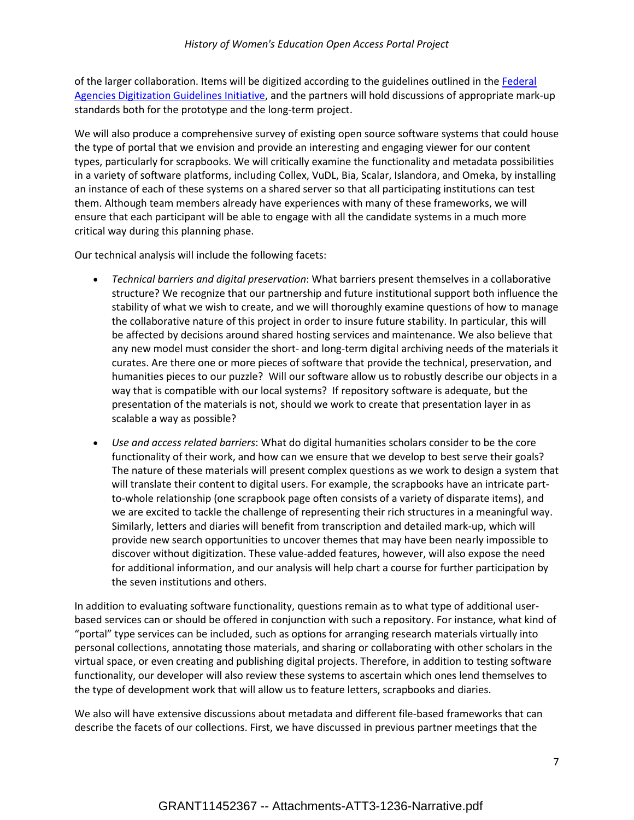of the larger collaboration. Items will be digitized according to the guidelines outlined in the [Federal](http://www.digitizationguidelines.gov/)  [Agencies Digitization Guidelines Initiative,](http://www.digitizationguidelines.gov/) and the partners will hold discussions of appropriate mark-up standards both for the prototype and the long-term project.

We will also produce a comprehensive survey of existing open source software systems that could house the type of portal that we envision and provide an interesting and engaging viewer for our content types, particularly for scrapbooks. We will critically examine the functionality and metadata possibilities in a variety of software platforms, including Collex, VuDL, Bia, Scalar, Islandora, and Omeka, by installing an instance of each of these systems on a shared server so that all participating institutions can test them. Although team members already have experiences with many of these frameworks, we will ensure that each participant will be able to engage with all the candidate systems in a much more critical way during this planning phase.

Our technical analysis will include the following facets:

- *Technical barriers and digital preservation*: What barriers present themselves in a collaborative structure? We recognize that our partnership and future institutional support both influence the stability of what we wish to create, and we will thoroughly examine questions of how to manage the collaborative nature of this project in order to insure future stability. In particular, this will be affected by decisions around shared hosting services and maintenance. We also believe that any new model must consider the short- and long-term digital archiving needs of the materials it curates. Are there one or more pieces of software that provide the technical, preservation, and humanities pieces to our puzzle? Will our software allow us to robustly describe our objects in a way that is compatible with our local systems? If repository software is adequate, but the presentation of the materials is not, should we work to create that presentation layer in as scalable a way as possible?
- *Use and access related barriers*: What do digital humanities scholars consider to be the core functionality of their work, and how can we ensure that we develop to best serve their goals? The nature of these materials will present complex questions as we work to design a system that will translate their content to digital users. For example, the scrapbooks have an intricate partto-whole relationship (one scrapbook page often consists of a variety of disparate items), and we are excited to tackle the challenge of representing their rich structures in a meaningful way. Similarly, letters and diaries will benefit from transcription and detailed mark-up, which will provide new search opportunities to uncover themes that may have been nearly impossible to discover without digitization. These value-added features, however, will also expose the need for additional information, and our analysis will help chart a course for further participation by the seven institutions and others.

In addition to evaluating software functionality, questions remain as to what type of additional userbased services can or should be offered in conjunction with such a repository. For instance, what kind of "portal" type services can be included, such as options for arranging research materials virtually into personal collections, annotating those materials, and sharing or collaborating with other scholars in the virtual space, or even creating and publishing digital projects. Therefore, in addition to testing software functionality, our developer will also review these systems to ascertain which ones lend themselves to the type of development work that will allow us to feature letters, scrapbooks and diaries.

We also will have extensive discussions about metadata and different file-based frameworks that can describe the facets of our collections. First, we have discussed in previous partner meetings that the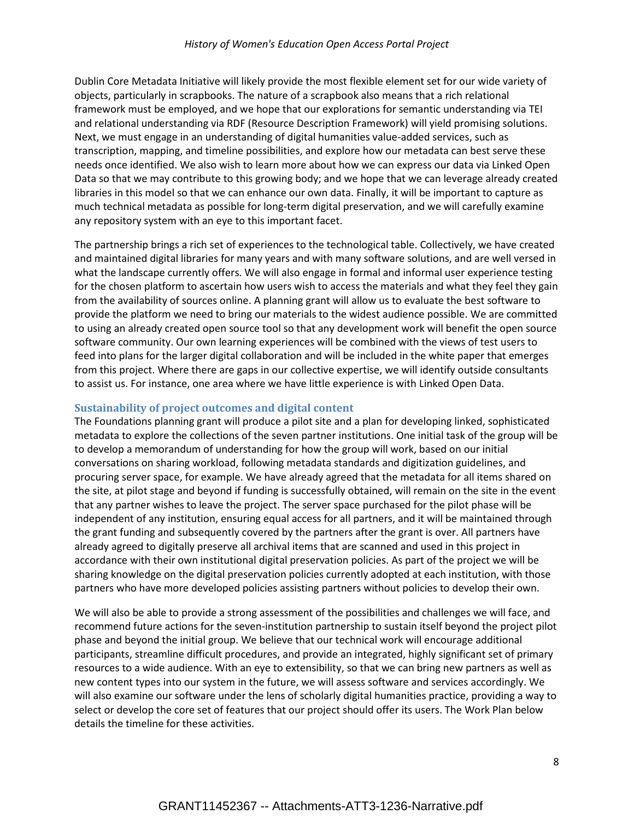## *History of Women's Education Open Access Portal Project*

Dublin Core Metadata Initiative will likely provide the most flexible element set for our wide variety of objects, particularly in scrapbooks. The nature of a scrapbook also means that a rich relational framework must be employed, and we hope that our explorations for semantic understanding via TEI and relational understanding via RDF (Resource Description Framework) will yield promising solutions. Next, we must engage in an understanding of digital humanities value-added services, such as transcription, mapping, and timeline possibilities, and explore how our metadata can best serve these needs once identified. We also wish to learn more about how we can express our data via Linked Open Data so that we may contribute to this growing body; and we hope that we can leverage already created libraries in this model so that we can enhance our own data. Finally, it will be important to capture as much technical metadata as possible for long-term digital preservation, and we will carefully examine any repository system with an eye to this important facet.

The partnership brings a rich set of experiences to the technological table. Collectively, we have created and maintained digital libraries for many years and with many software solutions, and are well versed in what the landscape currently offers. We will also engage in formal and informal user experience testing for the chosen platform to ascertain how users wish to access the materials and what they feel they gain from the availability of sources online. A planning grant will allow us to evaluate the best software to provide the platform we need to bring our materials to the widest audience possible. We are committed to using an already created open source tool so that any development work will benefit the open source software community. Our own learning experiences will be combined with the views of test users to feed into plans for the larger digital collaboration and will be included in the white paper that emerges from this project. Where there are gaps in our collective expertise, we will identify outside consultants to assist us. For instance, one area where we have little experience is with Linked Open Data.

## **Sustainability of project outcomes and digital content**

The Foundations planning grant will produce a pilot site and a plan for developing linked, sophisticated metadata to explore the collections of the seven partner institutions. One initial task of the group will be to develop a memorandum of understanding for how the group will work, based on our initial conversations on sharing workload, following metadata standards and digitization guidelines, and procuring server space, for example. We have already agreed that the metadata for all items shared on the site, at pilot stage and beyond if funding is successfully obtained, will remain on the site in the event that any partner wishes to leave the project. The server space purchased for the pilot phase will be independent of any institution, ensuring equal access for all partners, and it will be maintained through the grant funding and subsequently covered by the partners after the grant is over. All partners have already agreed to digitally preserve all archival items that are scanned and used in this project in accordance with their own institutional digital preservation policies. As part of the project we will be sharing knowledge on the digital preservation policies currently adopted at each institution, with those partners who have more developed policies assisting partners without policies to develop their own.

We will also be able to provide a strong assessment of the possibilities and challenges we will face, and recommend future actions for the seven-institution partnership to sustain itself beyond the project pilot phase and beyond the initial group. We believe that our technical work will encourage additional participants, streamline difficult procedures, and provide an integrated, highly significant set of primary resources to a wide audience. With an eye to extensibility, so that we can bring new partners as well as new content types into our system in the future, we will assess software and services accordingly. We will also examine our software under the lens of scholarly digital humanities practice, providing a way to select or develop the core set of features that our project should offer its users. The Work Plan below details the timeline for these activities.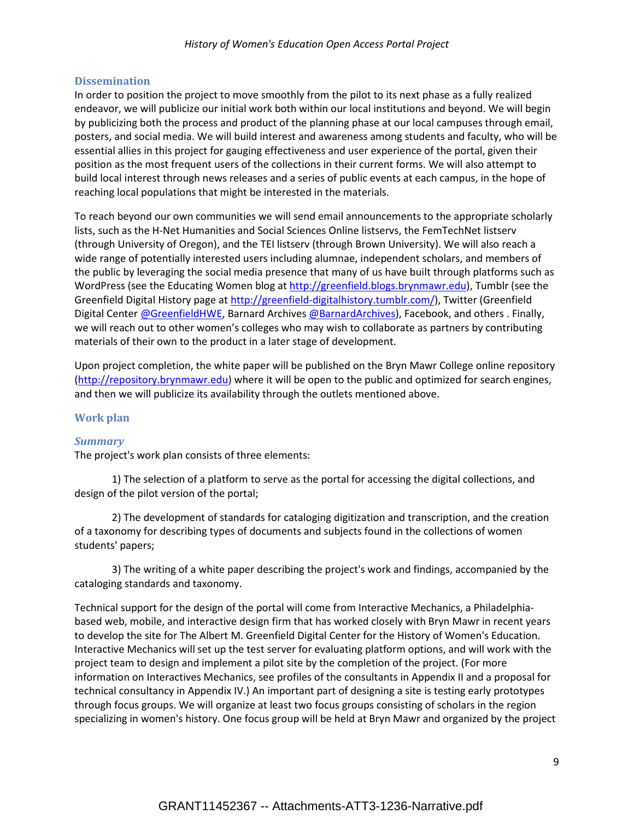## **Dissemination**

In order to position the project to move smoothly from the pilot to its next phase as a fully realized endeavor, we will publicize our initial work both within our local institutions and beyond. We will begin by publicizing both the process and product of the planning phase at our local campuses through email, posters, and social media. We will build interest and awareness among students and faculty, who will be essential allies in this project for gauging effectiveness and user experience of the portal, given their position as the most frequent users of the collections in their current forms. We will also attempt to build local interest through news releases and a series of public events at each campus, in the hope of reaching local populations that might be interested in the materials.

To reach beyond our own communities we will send email announcements to the appropriate scholarly lists, such as the H-Net Humanities and Social Sciences Online listservs, the FemTechNet listserv (through University of Oregon), and the TEI listserv (through Brown University). We will also reach a wide range of potentially interested users including alumnae, independent scholars, and members of the public by leveraging the social media presence that many of us have built through platforms such as WordPress (see the Educating Women blog a[t http://greenfield.blogs.brynmawr.edu\)](http://greenfield.blogs.brynmawr.edu/), Tumblr (see the Greenfield Digital History page a[t http://greenfield-digitalhistory.tumblr.com/\)](http://greenfield-digitalhistory.tumblr.com/), Twitter (Greenfield Digital Cente[r @GreenfieldHWE,](https://twitter.com/GreenfieldHWE) Barnard Archive[s @BarnardArchives\)](https://twitter.com/BarnardArchives), Facebook, and others . Finally, we will reach out to other women's colleges who may wish to collaborate as partners by contributing materials of their own to the product in a later stage of development.

Upon project completion, the white paper will be published on the Bryn Mawr College online repository [\(http://repository.brynmawr.edu\)](http://repository.brynmawr.edu/) where it will be open to the public and optimized for search engines, and then we will publicize its availability through the outlets mentioned above.

## **Work plan**

## *Summary*

The project's work plan consists of three elements:

1) The selection of a platform to serve as the portal for accessing the digital collections, and design of the pilot version of the portal;

2) The development of standards for cataloging digitization and transcription, and the creation of a taxonomy for describing types of documents and subjects found in the collections of women students' papers;

3) The writing of a white paper describing the project's work and findings, accompanied by the cataloging standards and taxonomy.

Technical support for the design of the portal will come from Interactive Mechanics, a Philadelphiabased web, mobile, and interactive design firm that has worked closely with Bryn Mawr in recent years to develop the site for The Albert M. Greenfield Digital Center for the History of Women's Education. Interactive Mechanics will set up the test server for evaluating platform options, and will work with the project team to design and implement a pilot site by the completion of the project. (For more information on Interactives Mechanics, see profiles of the consultants in Appendix II and a proposal for technical consultancy in Appendix IV.) An important part of designing a site is testing early prototypes through focus groups. We will organize at least two focus groups consisting of scholars in the region specializing in women's history. One focus group will be held at Bryn Mawr and organized by the project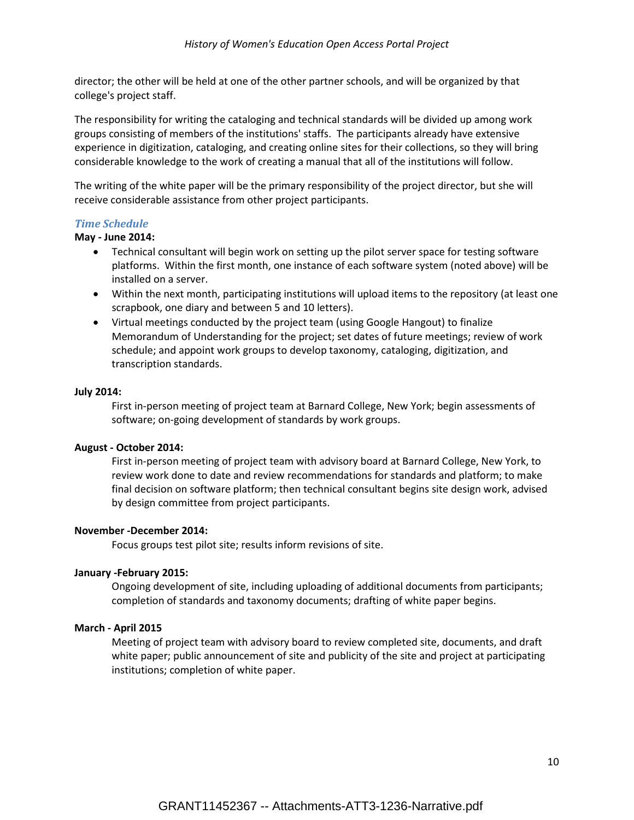director; the other will be held at one of the other partner schools, and will be organized by that college's project staff.

The responsibility for writing the cataloging and technical standards will be divided up among work groups consisting of members of the institutions' staffs. The participants already have extensive experience in digitization, cataloging, and creating online sites for their collections, so they will bring considerable knowledge to the work of creating a manual that all of the institutions will follow.

The writing of the white paper will be the primary responsibility of the project director, but she will receive considerable assistance from other project participants.

## *Time Schedule*

## **May - June 2014:**

- Technical consultant will begin work on setting up the pilot server space for testing software platforms. Within the first month, one instance of each software system (noted above) will be installed on a server.
- Within the next month, participating institutions will upload items to the repository (at least one scrapbook, one diary and between 5 and 10 letters).
- Virtual meetings conducted by the project team (using Google Hangout) to finalize Memorandum of Understanding for the project; set dates of future meetings; review of work schedule; and appoint work groups to develop taxonomy, cataloging, digitization, and transcription standards.

## **July 2014:**

First in-person meeting of project team at Barnard College, New York; begin assessments of software; on-going development of standards by work groups.

## **August - October 2014:**

First in-person meeting of project team with advisory board at Barnard College, New York, to review work done to date and review recommendations for standards and platform; to make final decision on software platform; then technical consultant begins site design work, advised by design committee from project participants.

## **November -December 2014:**

Focus groups test pilot site; results inform revisions of site.

## **January -February 2015:**

Ongoing development of site, including uploading of additional documents from participants; completion of standards and taxonomy documents; drafting of white paper begins.

## **March - April 2015**

Meeting of project team with advisory board to review completed site, documents, and draft white paper; public announcement of site and publicity of the site and project at participating institutions; completion of white paper.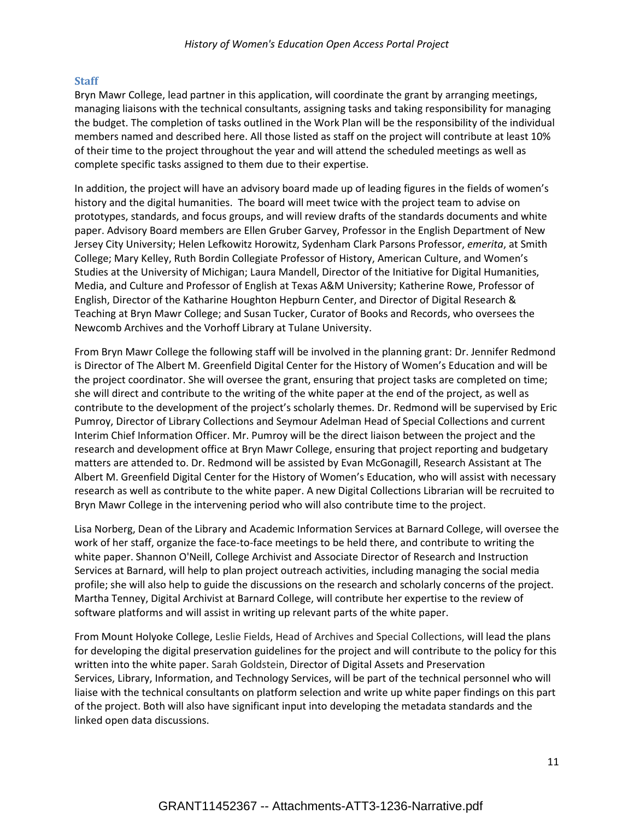## **Staff**

Bryn Mawr College, lead partner in this application, will coordinate the grant by arranging meetings, managing liaisons with the technical consultants, assigning tasks and taking responsibility for managing the budget. The completion of tasks outlined in the Work Plan will be the responsibility of the individual members named and described here. All those listed as staff on the project will contribute at least 10% of their time to the project throughout the year and will attend the scheduled meetings as well as complete specific tasks assigned to them due to their expertise.

In addition, the project will have an advisory board made up of leading figures in the fields of women's history and the digital humanities. The board will meet twice with the project team to advise on prototypes, standards, and focus groups, and will review drafts of the standards documents and white paper. Advisory Board members are Ellen Gruber Garvey, Professor in the English Department of New Jersey City University; Helen Lefkowitz Horowitz, Sydenham Clark Parsons Professor, *emerita*, at Smith College; Mary Kelley, Ruth Bordin Collegiate Professor of History, American Culture, and Women's Studies at the University of Michigan; Laura Mandell, Director of the Initiative for Digital Humanities, Media, and Culture and Professor of English at Texas A&M University; Katherine Rowe, Professor of English, Director of the Katharine Houghton Hepburn Center, and Director of Digital Research & Teaching at Bryn Mawr College; and Susan Tucker, Curator of Books and Records, who oversees the Newcomb Archives and the Vorhoff Library at Tulane University.

From Bryn Mawr College the following staff will be involved in the planning grant: Dr. Jennifer Redmond is Director of The Albert M. Greenfield Digital Center for the History of Women's Education and will be the project coordinator. She will oversee the grant, ensuring that project tasks are completed on time; she will direct and contribute to the writing of the white paper at the end of the project, as well as contribute to the development of the project's scholarly themes. Dr. Redmond will be supervised by Eric Pumroy, Director of Library Collections and Seymour Adelman Head of Special Collections and current Interim Chief Information Officer. Mr. Pumroy will be the direct liaison between the project and the research and development office at Bryn Mawr College, ensuring that project reporting and budgetary matters are attended to. Dr. Redmond will be assisted by Evan McGonagill, Research Assistant at The Albert M. Greenfield Digital Center for the History of Women's Education, who will assist with necessary research as well as contribute to the white paper. A new Digital Collections Librarian will be recruited to Bryn Mawr College in the intervening period who will also contribute time to the project.

Lisa Norberg, Dean of the Library and Academic Information Services at Barnard College, will oversee the work of her staff, organize the face-to-face meetings to be held there, and contribute to writing the white paper. Shannon O'Neill, College Archivist and Associate Director of Research and Instruction Services at Barnard, will help to plan project outreach activities, including managing the social media profile; she will also help to guide the discussions on the research and scholarly concerns of the project. Martha Tenney, Digital Archivist at Barnard College, will contribute her expertise to the review of software platforms and will assist in writing up relevant parts of the white paper.

From Mount Holyoke College, Leslie Fields, Head of Archives and Special Collections, will lead the plans for developing the digital preservation guidelines for the project and will contribute to the policy for this written into the white paper. Sarah Goldstein, Director of Digital Assets and Preservation Services, Library, Information, and Technology Services, will be part of the technical personnel who will liaise with the technical consultants on platform selection and write up white paper findings on this part of the project. Both will also have significant input into developing the metadata standards and the linked open data discussions.